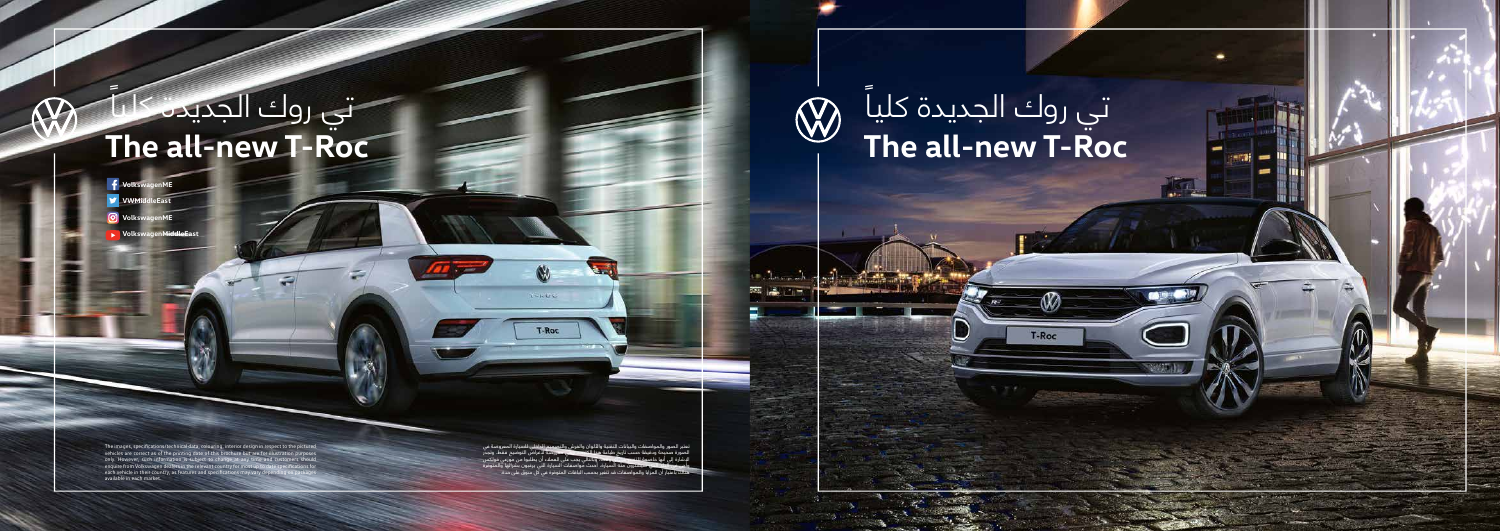The images, specifications/technical data, colouring, interior design in respect to the pictured vehicles are correct as of the printing date of this brochure but are for illustration purposes<br>only. However, such information is subject to change at any time and customers should<br>enquire from Volkswagen dealers in the r each vehicle in their country, as features and specifications may vary dependent country. available in each market.

## **The all-new T-Roc** ً تي روك الجديدة كليا

∞

T-Roc

<u> Han</u>

**CONTRACTOR** 

 $\bigotimes$ 

**College Lines** 

## **The all-new T-Roc** ׇ֖֖֖֧ׅ֖ׅ֦֦ׅׅׅ֚֚֚֡֩֡֓֬֩֓֞֓֡֡֡֩֞֓֞֡֞֡֞֞֡֞֞֡֞֞֟֓֞֡֞֓֞֞֓֞֬֝֬֓֞֬֞֓֞֬֝֬֓֞֬֝֬֓֞֬֝֬֝֬֝֬֓֬֝֬֝֬֝<br>֧֧֧֧֧֩֩֩֩֩֞ تي روك الجديدة كليا

- **f** Volkswage
- **VWMiddleEast**
- **VolkswagenME**
- **Yolksw**

تعتبر الصور والمواصفات والبيانات التقنية والألوان والفرش والتصميم الداخلي للسيارة المعروضة في<br>الصورة صحيحة ودقيقة حسب تاريخ طياعة هذا الكتيب وهي معروضة للــُغراض التوضيح مقط. وتجرب<br>البشراة إلى أنها خاصوته للتغيير من أن وه

 $-005$